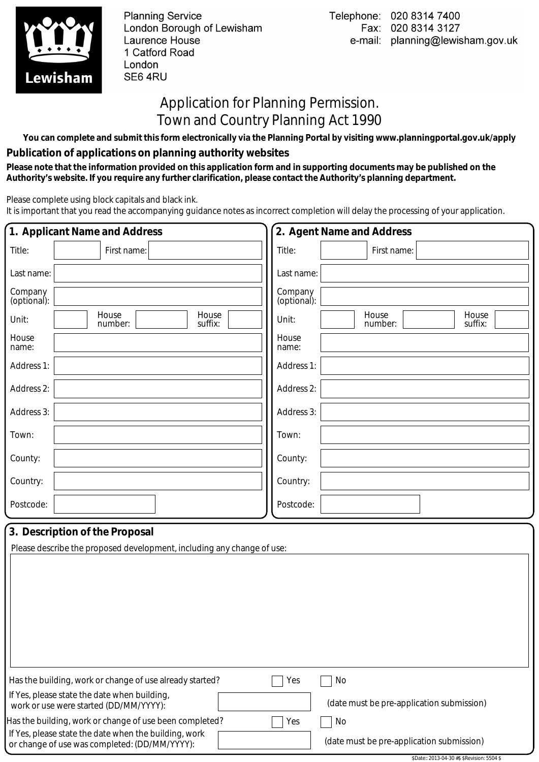

**Planning Service** London Borough of Lewisham Laurence House 1 Catford Road London SE6 4RU

## Application for Planning Permission. Town and Country Planning Act 1990

**You can complete and submit this form electronically via the Planning Portal by visiting www.planningportal.gov.uk/apply**

## **Publication of applications on planning authority websites**

 **Please note that the information provided on this application form and in supporting documents may be published on the Authority's website. If you require any further clarification, please contact the Authority's planning department.**

Please complete using block capitals and black ink.

It is important that you read the accompanying guidance notes as incorrect completion will delay the processing of your application.

|                        | 1. Applicant Name and Address                                                                                    |                        | 2. Agent Name and Address                 |
|------------------------|------------------------------------------------------------------------------------------------------------------|------------------------|-------------------------------------------|
| Title:                 | First name:                                                                                                      | Title:                 | First name:                               |
| Last name:             |                                                                                                                  | Last name:             |                                           |
| Company<br>(optional): |                                                                                                                  | Company<br>(optional): |                                           |
| Unit:                  | House<br>House<br>suffix:<br>number:                                                                             | Unit:                  | House<br>House<br>suffix:<br>number:      |
| House<br>name:         |                                                                                                                  | House<br>name:         |                                           |
| Address 1:             |                                                                                                                  | Address 1:             |                                           |
| Address 2:             |                                                                                                                  | Address 2:             |                                           |
| Address 3:             |                                                                                                                  | Address 3:             |                                           |
| Town:                  |                                                                                                                  | Town:                  |                                           |
| County:                |                                                                                                                  | County:                |                                           |
| Country:               |                                                                                                                  | Country:               |                                           |
| Postcode:              |                                                                                                                  | Postcode:              |                                           |
|                        | 3. Description of the Proposal<br>Please describe the proposed development, including any change of use:         |                        |                                           |
|                        |                                                                                                                  |                        |                                           |
|                        | Has the building, work or change of use already started?                                                         | Yes                    | No                                        |
|                        | If Yes, please state the date when building,<br>work or use were started (DD/MM/YYYY):                           |                        | (date must be pre-application submission) |
|                        | Has the building, work or change of use been completed?<br>If Yes, please state the date when the building, work | Yes                    | No                                        |
|                        | or change of use was completed: (DD/MM/YYYY):                                                                    |                        | (date must be pre-application submission) |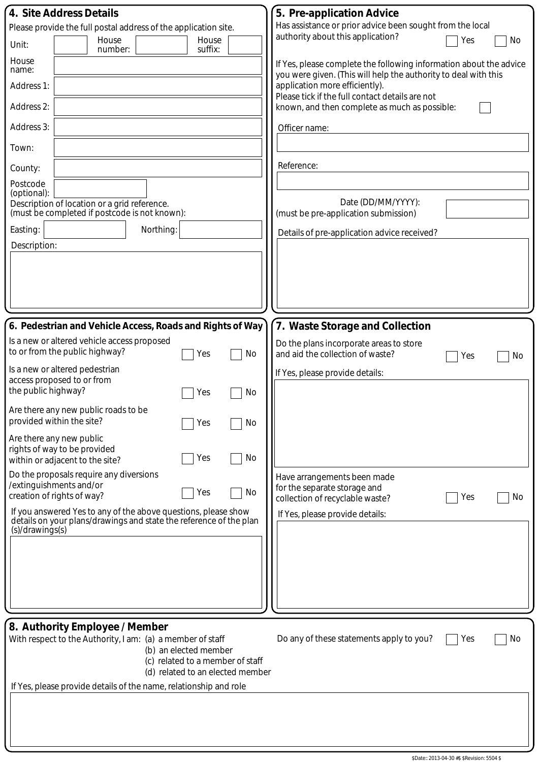| 4. Site Address Details                                                                                                                                     | 5. Pre-application Advice                                                                                                             |
|-------------------------------------------------------------------------------------------------------------------------------------------------------------|---------------------------------------------------------------------------------------------------------------------------------------|
| Please provide the full postal address of the application site.                                                                                             | Has assistance or prior advice been sought from the local                                                                             |
| House<br>House<br>Unit:<br>suffix:<br>number:                                                                                                               | authority about this application?<br>Yes<br>No                                                                                        |
| House<br>name:                                                                                                                                              | If Yes, please complete the following information about the advice<br>you were given. (This will help the authority to deal with this |
| Address 1:                                                                                                                                                  | application more efficiently).<br>Please tick if the full contact details are not                                                     |
| Address 2:                                                                                                                                                  | known, and then complete as much as possible:                                                                                         |
| Address 3:                                                                                                                                                  | Officer name:                                                                                                                         |
| Town:                                                                                                                                                       |                                                                                                                                       |
| County:                                                                                                                                                     | Reference:                                                                                                                            |
| Postcode<br>(optional):                                                                                                                                     |                                                                                                                                       |
| Description of location or a grid reference.<br>(must be completed if postcode is not known):                                                               | Date (DD/MM/YYYY):<br>(must be pre-application submission)                                                                            |
| Easting:<br>Northing:                                                                                                                                       | Details of pre-application advice received?                                                                                           |
| Description:                                                                                                                                                |                                                                                                                                       |
|                                                                                                                                                             |                                                                                                                                       |
|                                                                                                                                                             |                                                                                                                                       |
|                                                                                                                                                             |                                                                                                                                       |
| 6. Pedestrian and Vehicle Access, Roads and Rights of Way                                                                                                   | 7. Waste Storage and Collection                                                                                                       |
| Is a new or altered vehicle access proposed                                                                                                                 | Do the plans incorporate areas to store                                                                                               |
| to or from the public highway?<br>No<br>Yes                                                                                                                 | and aid the collection of waste?<br>Yes<br>No                                                                                         |
| Is a new or altered pedestrian<br>access proposed to or from                                                                                                | If Yes, please provide details:                                                                                                       |
| the public highway?<br>No<br>Yes                                                                                                                            |                                                                                                                                       |
| Are there any new public roads to be<br>provided within the site?<br>No<br>Yes                                                                              |                                                                                                                                       |
| Are there any new public                                                                                                                                    |                                                                                                                                       |
| rights of way to be provided<br>No<br>Yes<br>within or adjacent to the site?                                                                                |                                                                                                                                       |
| Do the proposals require any diversions<br>/extinguishments and/or                                                                                          | Have arrangements been made                                                                                                           |
| No<br>Yes<br>creation of rights of way?                                                                                                                     | for the separate storage and<br>No<br>Yes<br>collection of recyclable waste?                                                          |
| If you answered Yes to any of the above questions, please show<br>details on your plans/drawings and state the reference of the plan                        | If Yes, please provide details:                                                                                                       |
| (s)/drawings(s)                                                                                                                                             |                                                                                                                                       |
|                                                                                                                                                             |                                                                                                                                       |
|                                                                                                                                                             |                                                                                                                                       |
|                                                                                                                                                             |                                                                                                                                       |
|                                                                                                                                                             |                                                                                                                                       |
| 8. Authority Employee / Member                                                                                                                              |                                                                                                                                       |
| With respect to the Authority, I am: (a) a member of staff<br>(b) an elected member<br>(c) related to a member of staff<br>(d) related to an elected member | Do any of these statements apply to you?<br>No<br>Yes                                                                                 |
| If Yes, please provide details of the name, relationship and role                                                                                           |                                                                                                                                       |
|                                                                                                                                                             |                                                                                                                                       |
|                                                                                                                                                             |                                                                                                                                       |
|                                                                                                                                                             |                                                                                                                                       |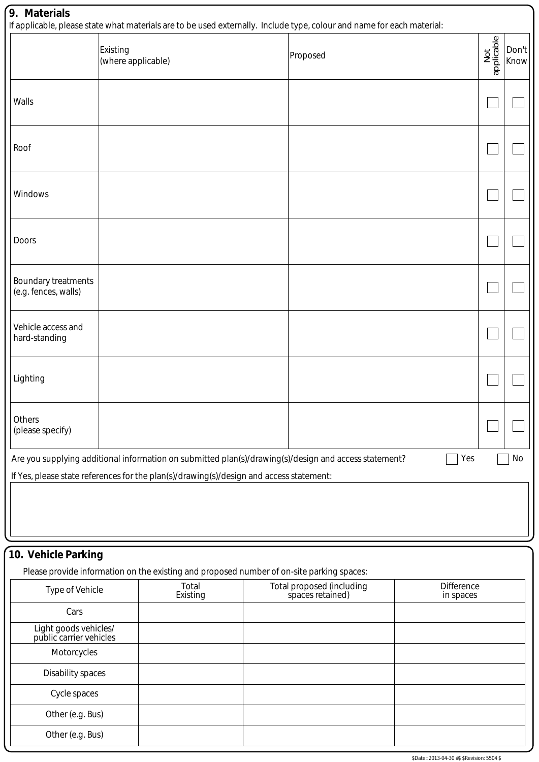| 9. Materials<br>If applicable, please state what materials are to be used externally. Include type, colour and name for each material: |                                       |       |  |  |                           |            |                   |               |
|----------------------------------------------------------------------------------------------------------------------------------------|---------------------------------------|-------|--|--|---------------------------|------------|-------------------|---------------|
|                                                                                                                                        | <b>Existing</b><br>(where applicable) |       |  |  | Proposed                  |            | Not<br>applicable | Don't<br>Know |
| Walls                                                                                                                                  |                                       |       |  |  |                           |            |                   |               |
| Roof                                                                                                                                   |                                       |       |  |  |                           |            |                   |               |
| Windows                                                                                                                                |                                       |       |  |  |                           |            |                   |               |
| Doors                                                                                                                                  |                                       |       |  |  |                           |            |                   |               |
| Boundary treatments<br>(e.g. fences, walls)                                                                                            |                                       |       |  |  |                           |            |                   |               |
| Vehicle access and<br>hard-standing                                                                                                    |                                       |       |  |  |                           |            |                   |               |
| Lighting                                                                                                                               |                                       |       |  |  |                           |            |                   |               |
| Others<br>(please specify)                                                                                                             |                                       |       |  |  |                           |            |                   |               |
| Yes<br>Are you supplying additional information on submitted plan(s)/drawing(s)/design and access statement?<br>No                     |                                       |       |  |  |                           |            |                   |               |
| If Yes, please state references for the plan(s)/drawing(s)/design and access statement:                                                |                                       |       |  |  |                           |            |                   |               |
| 10. Vehicle Parking<br>Please provide information on the existing and proposed number of on-site parking spaces:                       |                                       |       |  |  |                           |            |                   |               |
| <b>Type of Vehicle</b>                                                                                                                 |                                       | Total |  |  | Total proposed (including | Difference |                   |               |

| Type of Vehicle                                  | Total<br>Existing | Total proposed (including<br>spaces retained) | <b>Difference</b><br>in spaces |
|--------------------------------------------------|-------------------|-----------------------------------------------|--------------------------------|
| Cars                                             |                   |                                               |                                |
| Light goods vehicles/<br>public carrier vehicles |                   |                                               |                                |
| Motorcycles                                      |                   |                                               |                                |
| Disability spaces                                |                   |                                               |                                |
| Cycle spaces                                     |                   |                                               |                                |
| Other (e.g. Bus)                                 |                   |                                               |                                |
| Other (e.g. Bus)                                 |                   |                                               |                                |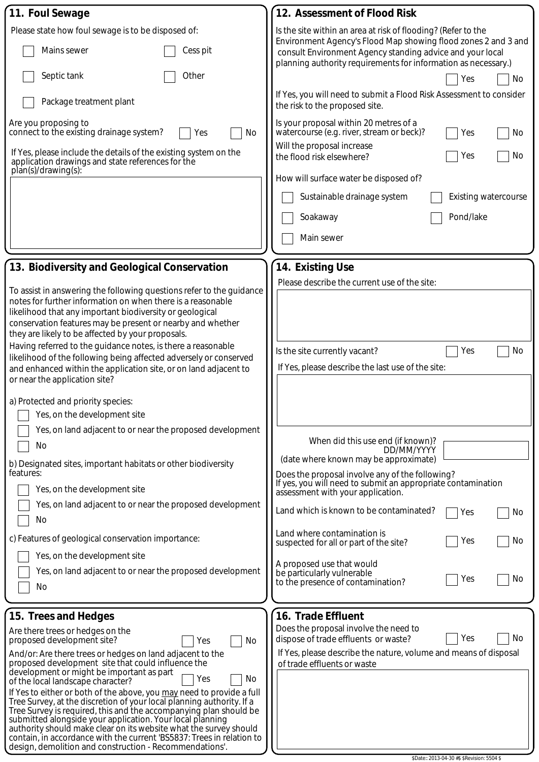| Is the site within an area at risk of flooding? (Refer to the<br>Please state how foul sewage is to be disposed of:<br>Environment Agency's Flood Map showing flood zones 2 and 3 and<br>Mains sewer<br>Cess pit<br>consult Environment Agency standing advice and your local<br>planning authority requirements for information as necessary.)<br>Septic tank<br>Other<br>No<br>Yes<br>If Yes, you will need to submit a Flood Risk Assessment to consider<br>Package treatment plant<br>the risk to the proposed site.<br>Is your proposal within 20 metres of a<br>Are you proposing to<br>watercourse (e.g. river, stream or beck)?<br>connect to the existing drainage system?<br>No<br>No<br>Yes<br>Yes<br>Will the proposal increase<br>If Yes, please include the details of the existing system on the<br>No<br>Yes<br>the flood risk elsewhere?<br>application drawings and state references for the<br>plan(s)/drawing(s):<br>How will surface water be disposed of?<br><b>Existing watercourse</b><br>Sustainable drainage system<br>Pond/lake<br>Soakaway<br>Main sewer<br>13. Biodiversity and Geological Conservation<br>14. Existing Use<br>Please describe the current use of the site:<br>To assist in answering the following questions refer to the guidance<br>notes for further information on when there is a reasonable<br>likelihood that any important biodiversity or geological<br>conservation features may be present or nearby and whether<br>they are likely to be affected by your proposals.<br>Having referred to the guidance notes, is there a reasonable<br>No<br>Is the site currently vacant?<br>Yes<br>likelihood of the following being affected adversely or conserved<br>If Yes, please describe the last use of the site:<br>and enhanced within the application site, or on land adjacent to<br>or near the application site?<br>a) Protected and priority species:<br>Yes, on the development site<br>Yes, on land adjacent to or near the proposed development<br>When did this use end (if known)?<br>No<br>DD/MM/YYYY<br>(date where known may be approximate)<br>b) Designated sites, important habitats or other biodiversity<br>features:<br>Does the proposal involve any of the following?<br>If yes, you will need to submit an appropriate contamination<br>Yes, on the development site<br>assessment with your application.<br>Yes, on land adjacent to or near the proposed development<br>Land which is known to be contaminated?<br>No<br>Yes<br>No<br>Land where contamination is<br>c) Features of geological conservation importance:<br>No<br>Yes<br>suspected for all or part of the site?<br>Yes, on the development site<br>A proposed use that would<br>Yes, on land adjacent to or near the proposed development<br>be particularly vulnerable<br>No<br>Yes<br>to the presence of contamination?<br>No<br>16. Trade Effluent<br>15. Trees and Hedges<br>Does the proposal involve the need to<br>Are there trees or hedges on the<br>No<br>Yes<br>dispose of trade effluents or waste?<br>proposed development site?<br>No<br>Yes<br>If Yes, please describe the nature, volume and means of disposal<br>And/or: Are there trees or hedges on land adjacent to the<br>proposed development site that could influence the<br>of trade effluents or waste<br>development or might be important as part<br>No<br>Yes<br>of the local landscape character?<br>If Yes to either or both of the above, you may need to provide a full<br>Tree Survey, at the discretion of your local planning authority. If a<br>Tree Survey is required, this and the accompanying plan should be<br>submitted alongside your application. Your local planning<br>authority should make clear on its website what the survey should<br>contain, in accordance with the current 'BS5837: Trees in relation to | 11. Foul Sewage                                         | 12. Assessment of Flood Risk |
|-----------------------------------------------------------------------------------------------------------------------------------------------------------------------------------------------------------------------------------------------------------------------------------------------------------------------------------------------------------------------------------------------------------------------------------------------------------------------------------------------------------------------------------------------------------------------------------------------------------------------------------------------------------------------------------------------------------------------------------------------------------------------------------------------------------------------------------------------------------------------------------------------------------------------------------------------------------------------------------------------------------------------------------------------------------------------------------------------------------------------------------------------------------------------------------------------------------------------------------------------------------------------------------------------------------------------------------------------------------------------------------------------------------------------------------------------------------------------------------------------------------------------------------------------------------------------------------------------------------------------------------------------------------------------------------------------------------------------------------------------------------------------------------------------------------------------------------------------------------------------------------------------------------------------------------------------------------------------------------------------------------------------------------------------------------------------------------------------------------------------------------------------------------------------------------------------------------------------------------------------------------------------------------------------------------------------------------------------------------------------------------------------------------------------------------------------------------------------------------------------------------------------------------------------------------------------------------------------------------------------------------------------------------------------------------------------------------------------------------------------------------------------------------------------------------------------------------------------------------------------------------------------------------------------------------------------------------------------------------------------------------------------------------------------------------------------------------------------------------------------------------------------------------------------------------------------------------------------------------------------------------------------------------------------------------------------------------------------------------------------------------------------------------------------------------------------------------------------------------------------------------------------------------------------------------------------------------------------------------------------------------------------------------------------------------------------------------------------------------------------------------------------------------------------------------------------------------------------------------------|---------------------------------------------------------|------------------------------|
|                                                                                                                                                                                                                                                                                                                                                                                                                                                                                                                                                                                                                                                                                                                                                                                                                                                                                                                                                                                                                                                                                                                                                                                                                                                                                                                                                                                                                                                                                                                                                                                                                                                                                                                                                                                                                                                                                                                                                                                                                                                                                                                                                                                                                                                                                                                                                                                                                                                                                                                                                                                                                                                                                                                                                                                                                                                                                                                                                                                                                                                                                                                                                                                                                                                                                                                                                                                                                                                                                                                                                                                                                                                                                                                                                                                                                                                                 |                                                         |                              |
|                                                                                                                                                                                                                                                                                                                                                                                                                                                                                                                                                                                                                                                                                                                                                                                                                                                                                                                                                                                                                                                                                                                                                                                                                                                                                                                                                                                                                                                                                                                                                                                                                                                                                                                                                                                                                                                                                                                                                                                                                                                                                                                                                                                                                                                                                                                                                                                                                                                                                                                                                                                                                                                                                                                                                                                                                                                                                                                                                                                                                                                                                                                                                                                                                                                                                                                                                                                                                                                                                                                                                                                                                                                                                                                                                                                                                                                                 |                                                         |                              |
|                                                                                                                                                                                                                                                                                                                                                                                                                                                                                                                                                                                                                                                                                                                                                                                                                                                                                                                                                                                                                                                                                                                                                                                                                                                                                                                                                                                                                                                                                                                                                                                                                                                                                                                                                                                                                                                                                                                                                                                                                                                                                                                                                                                                                                                                                                                                                                                                                                                                                                                                                                                                                                                                                                                                                                                                                                                                                                                                                                                                                                                                                                                                                                                                                                                                                                                                                                                                                                                                                                                                                                                                                                                                                                                                                                                                                                                                 |                                                         |                              |
|                                                                                                                                                                                                                                                                                                                                                                                                                                                                                                                                                                                                                                                                                                                                                                                                                                                                                                                                                                                                                                                                                                                                                                                                                                                                                                                                                                                                                                                                                                                                                                                                                                                                                                                                                                                                                                                                                                                                                                                                                                                                                                                                                                                                                                                                                                                                                                                                                                                                                                                                                                                                                                                                                                                                                                                                                                                                                                                                                                                                                                                                                                                                                                                                                                                                                                                                                                                                                                                                                                                                                                                                                                                                                                                                                                                                                                                                 |                                                         |                              |
|                                                                                                                                                                                                                                                                                                                                                                                                                                                                                                                                                                                                                                                                                                                                                                                                                                                                                                                                                                                                                                                                                                                                                                                                                                                                                                                                                                                                                                                                                                                                                                                                                                                                                                                                                                                                                                                                                                                                                                                                                                                                                                                                                                                                                                                                                                                                                                                                                                                                                                                                                                                                                                                                                                                                                                                                                                                                                                                                                                                                                                                                                                                                                                                                                                                                                                                                                                                                                                                                                                                                                                                                                                                                                                                                                                                                                                                                 |                                                         |                              |
|                                                                                                                                                                                                                                                                                                                                                                                                                                                                                                                                                                                                                                                                                                                                                                                                                                                                                                                                                                                                                                                                                                                                                                                                                                                                                                                                                                                                                                                                                                                                                                                                                                                                                                                                                                                                                                                                                                                                                                                                                                                                                                                                                                                                                                                                                                                                                                                                                                                                                                                                                                                                                                                                                                                                                                                                                                                                                                                                                                                                                                                                                                                                                                                                                                                                                                                                                                                                                                                                                                                                                                                                                                                                                                                                                                                                                                                                 |                                                         |                              |
|                                                                                                                                                                                                                                                                                                                                                                                                                                                                                                                                                                                                                                                                                                                                                                                                                                                                                                                                                                                                                                                                                                                                                                                                                                                                                                                                                                                                                                                                                                                                                                                                                                                                                                                                                                                                                                                                                                                                                                                                                                                                                                                                                                                                                                                                                                                                                                                                                                                                                                                                                                                                                                                                                                                                                                                                                                                                                                                                                                                                                                                                                                                                                                                                                                                                                                                                                                                                                                                                                                                                                                                                                                                                                                                                                                                                                                                                 |                                                         |                              |
|                                                                                                                                                                                                                                                                                                                                                                                                                                                                                                                                                                                                                                                                                                                                                                                                                                                                                                                                                                                                                                                                                                                                                                                                                                                                                                                                                                                                                                                                                                                                                                                                                                                                                                                                                                                                                                                                                                                                                                                                                                                                                                                                                                                                                                                                                                                                                                                                                                                                                                                                                                                                                                                                                                                                                                                                                                                                                                                                                                                                                                                                                                                                                                                                                                                                                                                                                                                                                                                                                                                                                                                                                                                                                                                                                                                                                                                                 |                                                         |                              |
|                                                                                                                                                                                                                                                                                                                                                                                                                                                                                                                                                                                                                                                                                                                                                                                                                                                                                                                                                                                                                                                                                                                                                                                                                                                                                                                                                                                                                                                                                                                                                                                                                                                                                                                                                                                                                                                                                                                                                                                                                                                                                                                                                                                                                                                                                                                                                                                                                                                                                                                                                                                                                                                                                                                                                                                                                                                                                                                                                                                                                                                                                                                                                                                                                                                                                                                                                                                                                                                                                                                                                                                                                                                                                                                                                                                                                                                                 |                                                         |                              |
|                                                                                                                                                                                                                                                                                                                                                                                                                                                                                                                                                                                                                                                                                                                                                                                                                                                                                                                                                                                                                                                                                                                                                                                                                                                                                                                                                                                                                                                                                                                                                                                                                                                                                                                                                                                                                                                                                                                                                                                                                                                                                                                                                                                                                                                                                                                                                                                                                                                                                                                                                                                                                                                                                                                                                                                                                                                                                                                                                                                                                                                                                                                                                                                                                                                                                                                                                                                                                                                                                                                                                                                                                                                                                                                                                                                                                                                                 |                                                         |                              |
|                                                                                                                                                                                                                                                                                                                                                                                                                                                                                                                                                                                                                                                                                                                                                                                                                                                                                                                                                                                                                                                                                                                                                                                                                                                                                                                                                                                                                                                                                                                                                                                                                                                                                                                                                                                                                                                                                                                                                                                                                                                                                                                                                                                                                                                                                                                                                                                                                                                                                                                                                                                                                                                                                                                                                                                                                                                                                                                                                                                                                                                                                                                                                                                                                                                                                                                                                                                                                                                                                                                                                                                                                                                                                                                                                                                                                                                                 |                                                         |                              |
|                                                                                                                                                                                                                                                                                                                                                                                                                                                                                                                                                                                                                                                                                                                                                                                                                                                                                                                                                                                                                                                                                                                                                                                                                                                                                                                                                                                                                                                                                                                                                                                                                                                                                                                                                                                                                                                                                                                                                                                                                                                                                                                                                                                                                                                                                                                                                                                                                                                                                                                                                                                                                                                                                                                                                                                                                                                                                                                                                                                                                                                                                                                                                                                                                                                                                                                                                                                                                                                                                                                                                                                                                                                                                                                                                                                                                                                                 |                                                         |                              |
|                                                                                                                                                                                                                                                                                                                                                                                                                                                                                                                                                                                                                                                                                                                                                                                                                                                                                                                                                                                                                                                                                                                                                                                                                                                                                                                                                                                                                                                                                                                                                                                                                                                                                                                                                                                                                                                                                                                                                                                                                                                                                                                                                                                                                                                                                                                                                                                                                                                                                                                                                                                                                                                                                                                                                                                                                                                                                                                                                                                                                                                                                                                                                                                                                                                                                                                                                                                                                                                                                                                                                                                                                                                                                                                                                                                                                                                                 |                                                         |                              |
|                                                                                                                                                                                                                                                                                                                                                                                                                                                                                                                                                                                                                                                                                                                                                                                                                                                                                                                                                                                                                                                                                                                                                                                                                                                                                                                                                                                                                                                                                                                                                                                                                                                                                                                                                                                                                                                                                                                                                                                                                                                                                                                                                                                                                                                                                                                                                                                                                                                                                                                                                                                                                                                                                                                                                                                                                                                                                                                                                                                                                                                                                                                                                                                                                                                                                                                                                                                                                                                                                                                                                                                                                                                                                                                                                                                                                                                                 |                                                         |                              |
|                                                                                                                                                                                                                                                                                                                                                                                                                                                                                                                                                                                                                                                                                                                                                                                                                                                                                                                                                                                                                                                                                                                                                                                                                                                                                                                                                                                                                                                                                                                                                                                                                                                                                                                                                                                                                                                                                                                                                                                                                                                                                                                                                                                                                                                                                                                                                                                                                                                                                                                                                                                                                                                                                                                                                                                                                                                                                                                                                                                                                                                                                                                                                                                                                                                                                                                                                                                                                                                                                                                                                                                                                                                                                                                                                                                                                                                                 |                                                         |                              |
|                                                                                                                                                                                                                                                                                                                                                                                                                                                                                                                                                                                                                                                                                                                                                                                                                                                                                                                                                                                                                                                                                                                                                                                                                                                                                                                                                                                                                                                                                                                                                                                                                                                                                                                                                                                                                                                                                                                                                                                                                                                                                                                                                                                                                                                                                                                                                                                                                                                                                                                                                                                                                                                                                                                                                                                                                                                                                                                                                                                                                                                                                                                                                                                                                                                                                                                                                                                                                                                                                                                                                                                                                                                                                                                                                                                                                                                                 |                                                         |                              |
|                                                                                                                                                                                                                                                                                                                                                                                                                                                                                                                                                                                                                                                                                                                                                                                                                                                                                                                                                                                                                                                                                                                                                                                                                                                                                                                                                                                                                                                                                                                                                                                                                                                                                                                                                                                                                                                                                                                                                                                                                                                                                                                                                                                                                                                                                                                                                                                                                                                                                                                                                                                                                                                                                                                                                                                                                                                                                                                                                                                                                                                                                                                                                                                                                                                                                                                                                                                                                                                                                                                                                                                                                                                                                                                                                                                                                                                                 |                                                         |                              |
|                                                                                                                                                                                                                                                                                                                                                                                                                                                                                                                                                                                                                                                                                                                                                                                                                                                                                                                                                                                                                                                                                                                                                                                                                                                                                                                                                                                                                                                                                                                                                                                                                                                                                                                                                                                                                                                                                                                                                                                                                                                                                                                                                                                                                                                                                                                                                                                                                                                                                                                                                                                                                                                                                                                                                                                                                                                                                                                                                                                                                                                                                                                                                                                                                                                                                                                                                                                                                                                                                                                                                                                                                                                                                                                                                                                                                                                                 |                                                         |                              |
|                                                                                                                                                                                                                                                                                                                                                                                                                                                                                                                                                                                                                                                                                                                                                                                                                                                                                                                                                                                                                                                                                                                                                                                                                                                                                                                                                                                                                                                                                                                                                                                                                                                                                                                                                                                                                                                                                                                                                                                                                                                                                                                                                                                                                                                                                                                                                                                                                                                                                                                                                                                                                                                                                                                                                                                                                                                                                                                                                                                                                                                                                                                                                                                                                                                                                                                                                                                                                                                                                                                                                                                                                                                                                                                                                                                                                                                                 |                                                         |                              |
|                                                                                                                                                                                                                                                                                                                                                                                                                                                                                                                                                                                                                                                                                                                                                                                                                                                                                                                                                                                                                                                                                                                                                                                                                                                                                                                                                                                                                                                                                                                                                                                                                                                                                                                                                                                                                                                                                                                                                                                                                                                                                                                                                                                                                                                                                                                                                                                                                                                                                                                                                                                                                                                                                                                                                                                                                                                                                                                                                                                                                                                                                                                                                                                                                                                                                                                                                                                                                                                                                                                                                                                                                                                                                                                                                                                                                                                                 |                                                         |                              |
|                                                                                                                                                                                                                                                                                                                                                                                                                                                                                                                                                                                                                                                                                                                                                                                                                                                                                                                                                                                                                                                                                                                                                                                                                                                                                                                                                                                                                                                                                                                                                                                                                                                                                                                                                                                                                                                                                                                                                                                                                                                                                                                                                                                                                                                                                                                                                                                                                                                                                                                                                                                                                                                                                                                                                                                                                                                                                                                                                                                                                                                                                                                                                                                                                                                                                                                                                                                                                                                                                                                                                                                                                                                                                                                                                                                                                                                                 |                                                         |                              |
|                                                                                                                                                                                                                                                                                                                                                                                                                                                                                                                                                                                                                                                                                                                                                                                                                                                                                                                                                                                                                                                                                                                                                                                                                                                                                                                                                                                                                                                                                                                                                                                                                                                                                                                                                                                                                                                                                                                                                                                                                                                                                                                                                                                                                                                                                                                                                                                                                                                                                                                                                                                                                                                                                                                                                                                                                                                                                                                                                                                                                                                                                                                                                                                                                                                                                                                                                                                                                                                                                                                                                                                                                                                                                                                                                                                                                                                                 |                                                         |                              |
|                                                                                                                                                                                                                                                                                                                                                                                                                                                                                                                                                                                                                                                                                                                                                                                                                                                                                                                                                                                                                                                                                                                                                                                                                                                                                                                                                                                                                                                                                                                                                                                                                                                                                                                                                                                                                                                                                                                                                                                                                                                                                                                                                                                                                                                                                                                                                                                                                                                                                                                                                                                                                                                                                                                                                                                                                                                                                                                                                                                                                                                                                                                                                                                                                                                                                                                                                                                                                                                                                                                                                                                                                                                                                                                                                                                                                                                                 |                                                         |                              |
|                                                                                                                                                                                                                                                                                                                                                                                                                                                                                                                                                                                                                                                                                                                                                                                                                                                                                                                                                                                                                                                                                                                                                                                                                                                                                                                                                                                                                                                                                                                                                                                                                                                                                                                                                                                                                                                                                                                                                                                                                                                                                                                                                                                                                                                                                                                                                                                                                                                                                                                                                                                                                                                                                                                                                                                                                                                                                                                                                                                                                                                                                                                                                                                                                                                                                                                                                                                                                                                                                                                                                                                                                                                                                                                                                                                                                                                                 |                                                         |                              |
|                                                                                                                                                                                                                                                                                                                                                                                                                                                                                                                                                                                                                                                                                                                                                                                                                                                                                                                                                                                                                                                                                                                                                                                                                                                                                                                                                                                                                                                                                                                                                                                                                                                                                                                                                                                                                                                                                                                                                                                                                                                                                                                                                                                                                                                                                                                                                                                                                                                                                                                                                                                                                                                                                                                                                                                                                                                                                                                                                                                                                                                                                                                                                                                                                                                                                                                                                                                                                                                                                                                                                                                                                                                                                                                                                                                                                                                                 |                                                         |                              |
|                                                                                                                                                                                                                                                                                                                                                                                                                                                                                                                                                                                                                                                                                                                                                                                                                                                                                                                                                                                                                                                                                                                                                                                                                                                                                                                                                                                                                                                                                                                                                                                                                                                                                                                                                                                                                                                                                                                                                                                                                                                                                                                                                                                                                                                                                                                                                                                                                                                                                                                                                                                                                                                                                                                                                                                                                                                                                                                                                                                                                                                                                                                                                                                                                                                                                                                                                                                                                                                                                                                                                                                                                                                                                                                                                                                                                                                                 |                                                         |                              |
|                                                                                                                                                                                                                                                                                                                                                                                                                                                                                                                                                                                                                                                                                                                                                                                                                                                                                                                                                                                                                                                                                                                                                                                                                                                                                                                                                                                                                                                                                                                                                                                                                                                                                                                                                                                                                                                                                                                                                                                                                                                                                                                                                                                                                                                                                                                                                                                                                                                                                                                                                                                                                                                                                                                                                                                                                                                                                                                                                                                                                                                                                                                                                                                                                                                                                                                                                                                                                                                                                                                                                                                                                                                                                                                                                                                                                                                                 |                                                         |                              |
|                                                                                                                                                                                                                                                                                                                                                                                                                                                                                                                                                                                                                                                                                                                                                                                                                                                                                                                                                                                                                                                                                                                                                                                                                                                                                                                                                                                                                                                                                                                                                                                                                                                                                                                                                                                                                                                                                                                                                                                                                                                                                                                                                                                                                                                                                                                                                                                                                                                                                                                                                                                                                                                                                                                                                                                                                                                                                                                                                                                                                                                                                                                                                                                                                                                                                                                                                                                                                                                                                                                                                                                                                                                                                                                                                                                                                                                                 |                                                         |                              |
|                                                                                                                                                                                                                                                                                                                                                                                                                                                                                                                                                                                                                                                                                                                                                                                                                                                                                                                                                                                                                                                                                                                                                                                                                                                                                                                                                                                                                                                                                                                                                                                                                                                                                                                                                                                                                                                                                                                                                                                                                                                                                                                                                                                                                                                                                                                                                                                                                                                                                                                                                                                                                                                                                                                                                                                                                                                                                                                                                                                                                                                                                                                                                                                                                                                                                                                                                                                                                                                                                                                                                                                                                                                                                                                                                                                                                                                                 |                                                         |                              |
|                                                                                                                                                                                                                                                                                                                                                                                                                                                                                                                                                                                                                                                                                                                                                                                                                                                                                                                                                                                                                                                                                                                                                                                                                                                                                                                                                                                                                                                                                                                                                                                                                                                                                                                                                                                                                                                                                                                                                                                                                                                                                                                                                                                                                                                                                                                                                                                                                                                                                                                                                                                                                                                                                                                                                                                                                                                                                                                                                                                                                                                                                                                                                                                                                                                                                                                                                                                                                                                                                                                                                                                                                                                                                                                                                                                                                                                                 |                                                         |                              |
|                                                                                                                                                                                                                                                                                                                                                                                                                                                                                                                                                                                                                                                                                                                                                                                                                                                                                                                                                                                                                                                                                                                                                                                                                                                                                                                                                                                                                                                                                                                                                                                                                                                                                                                                                                                                                                                                                                                                                                                                                                                                                                                                                                                                                                                                                                                                                                                                                                                                                                                                                                                                                                                                                                                                                                                                                                                                                                                                                                                                                                                                                                                                                                                                                                                                                                                                                                                                                                                                                                                                                                                                                                                                                                                                                                                                                                                                 |                                                         |                              |
|                                                                                                                                                                                                                                                                                                                                                                                                                                                                                                                                                                                                                                                                                                                                                                                                                                                                                                                                                                                                                                                                                                                                                                                                                                                                                                                                                                                                                                                                                                                                                                                                                                                                                                                                                                                                                                                                                                                                                                                                                                                                                                                                                                                                                                                                                                                                                                                                                                                                                                                                                                                                                                                                                                                                                                                                                                                                                                                                                                                                                                                                                                                                                                                                                                                                                                                                                                                                                                                                                                                                                                                                                                                                                                                                                                                                                                                                 |                                                         |                              |
|                                                                                                                                                                                                                                                                                                                                                                                                                                                                                                                                                                                                                                                                                                                                                                                                                                                                                                                                                                                                                                                                                                                                                                                                                                                                                                                                                                                                                                                                                                                                                                                                                                                                                                                                                                                                                                                                                                                                                                                                                                                                                                                                                                                                                                                                                                                                                                                                                                                                                                                                                                                                                                                                                                                                                                                                                                                                                                                                                                                                                                                                                                                                                                                                                                                                                                                                                                                                                                                                                                                                                                                                                                                                                                                                                                                                                                                                 |                                                         |                              |
|                                                                                                                                                                                                                                                                                                                                                                                                                                                                                                                                                                                                                                                                                                                                                                                                                                                                                                                                                                                                                                                                                                                                                                                                                                                                                                                                                                                                                                                                                                                                                                                                                                                                                                                                                                                                                                                                                                                                                                                                                                                                                                                                                                                                                                                                                                                                                                                                                                                                                                                                                                                                                                                                                                                                                                                                                                                                                                                                                                                                                                                                                                                                                                                                                                                                                                                                                                                                                                                                                                                                                                                                                                                                                                                                                                                                                                                                 |                                                         |                              |
|                                                                                                                                                                                                                                                                                                                                                                                                                                                                                                                                                                                                                                                                                                                                                                                                                                                                                                                                                                                                                                                                                                                                                                                                                                                                                                                                                                                                                                                                                                                                                                                                                                                                                                                                                                                                                                                                                                                                                                                                                                                                                                                                                                                                                                                                                                                                                                                                                                                                                                                                                                                                                                                                                                                                                                                                                                                                                                                                                                                                                                                                                                                                                                                                                                                                                                                                                                                                                                                                                                                                                                                                                                                                                                                                                                                                                                                                 | design, demolition and construction - Recommendations'. |                              |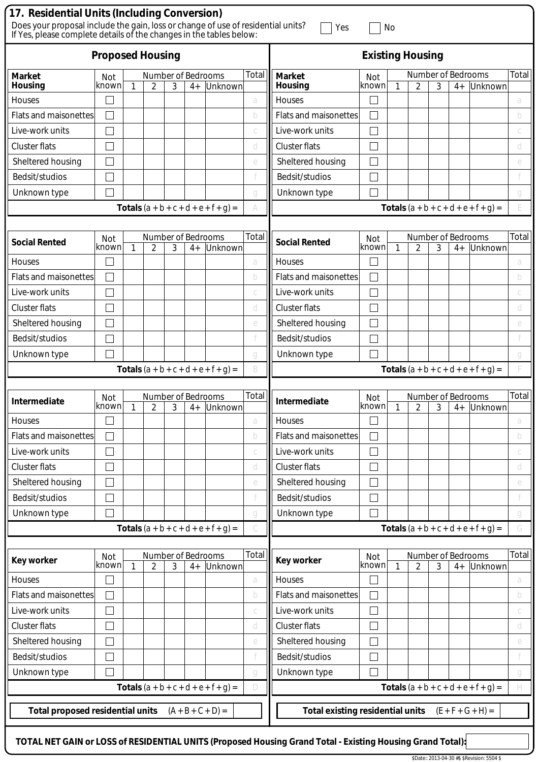|                                         | 17. Residential Units (Including Conversion)<br>Does your proposal include the gain, loss or change of use of residential units?<br>Yes<br>No<br>If Yes, please complete details of the changes in the tables below: |    |                         |   |      |                                               |       |                                         |                             |              |                                      |   |      |                                               |       |
|-----------------------------------------|----------------------------------------------------------------------------------------------------------------------------------------------------------------------------------------------------------------------|----|-------------------------|---|------|-----------------------------------------------|-------|-----------------------------------------|-----------------------------|--------------|--------------------------------------|---|------|-----------------------------------------------|-------|
|                                         | <b>Proposed Housing</b>                                                                                                                                                                                              |    |                         |   |      |                                               |       | <b>Existing Housing</b>                 |                             |              |                                      |   |      |                                               |       |
| <b>Market</b><br><b>Housing</b>         | <b>Not</b><br>known                                                                                                                                                                                                  | 1  | Number of Bedrooms<br>2 | 3 | $4+$ | Unknown                                       | Total | <b>Market</b><br>Housing                | Not<br>known                | 1            | Number of Bedrooms<br>$\overline{2}$ | 3 | $4+$ | Unknown                                       | Total |
| Houses                                  |                                                                                                                                                                                                                      |    |                         |   |      |                                               | a     | Houses                                  |                             |              |                                      |   |      |                                               | a     |
| <b>Flats and maisonettes</b>            |                                                                                                                                                                                                                      |    |                         |   |      |                                               | b     | <b>Flats and maisonettes</b>            |                             |              |                                      |   |      |                                               | b     |
| Live-work units                         |                                                                                                                                                                                                                      |    |                         |   |      |                                               |       | Live-work units                         |                             |              |                                      |   |      |                                               |       |
| <b>Cluster flats</b>                    |                                                                                                                                                                                                                      |    |                         |   |      |                                               | d     | Cluster flats                           |                             |              |                                      |   |      |                                               | d     |
| Sheltered housing                       |                                                                                                                                                                                                                      |    |                         |   |      |                                               | e     | Sheltered housing                       |                             |              |                                      |   |      |                                               | e     |
| Bedsit/studios                          |                                                                                                                                                                                                                      |    |                         |   |      |                                               |       | Bedsit/studios                          |                             |              |                                      |   |      |                                               |       |
| Unknown type                            |                                                                                                                                                                                                                      |    |                         |   |      |                                               | a     | Unknown type                            |                             |              |                                      |   |      |                                               | a     |
|                                         |                                                                                                                                                                                                                      |    |                         |   |      | <b>Totals</b> $(a + b + c + d + e + f + g) =$ |       |                                         |                             |              |                                      |   |      | <b>Totals</b> $(a + b + c + d + e + f + g) =$ |       |
|                                         |                                                                                                                                                                                                                      |    |                         |   |      |                                               |       |                                         |                             |              |                                      |   |      |                                               |       |
| <b>Social Rented</b>                    | Not<br>known                                                                                                                                                                                                         | 1  | Number of Bedrooms<br>2 | 3 | $4+$ | Unknown                                       | Total | <b>Social Rented</b>                    | Not<br>known                | $\mathbf{1}$ | Number of Bedrooms<br>$\overline{2}$ | 3 | $4+$ | Unknown                                       | Total |
| <b>Houses</b>                           |                                                                                                                                                                                                                      |    |                         |   |      |                                               | a     | Houses                                  |                             |              |                                      |   |      |                                               | a     |
| <b>Flats and maisonettes</b>            |                                                                                                                                                                                                                      |    |                         |   |      |                                               | b     | <b>Flats and maisonettes</b>            |                             |              |                                      |   |      |                                               | b     |
| Live-work units                         |                                                                                                                                                                                                                      |    |                         |   |      |                                               |       | Live-work units                         |                             |              |                                      |   |      |                                               |       |
| <b>Cluster flats</b>                    |                                                                                                                                                                                                                      |    |                         |   |      |                                               | d     | <b>Cluster flats</b>                    | $\mathcal{L}_{\mathcal{A}}$ |              |                                      |   |      |                                               | d     |
| Sheltered housing                       |                                                                                                                                                                                                                      |    |                         |   |      |                                               | e     | Sheltered housing                       |                             |              |                                      |   |      |                                               | e     |
| Bedsit/studios                          |                                                                                                                                                                                                                      |    |                         |   |      |                                               |       | Bedsit/studios                          |                             |              |                                      |   |      |                                               |       |
| Unknown type                            |                                                                                                                                                                                                                      |    |                         |   |      |                                               | a     | Unknown type                            |                             |              |                                      |   |      |                                               | a     |
|                                         |                                                                                                                                                                                                                      |    |                         |   |      | <b>Totals</b> $(a + b + c + d + e + f + g) =$ | B     |                                         |                             |              |                                      |   |      | <b>Totals</b> $(a + b + c + d + e + f + g) =$ |       |
|                                         |                                                                                                                                                                                                                      |    |                         |   |      |                                               |       |                                         |                             |              |                                      |   |      |                                               |       |
| Intermediate                            | Not<br>known                                                                                                                                                                                                         | -1 | Number of Bedrooms<br>2 | 3 | $4+$ | Unknown                                       | Total | Intermediate                            | Not<br>known                | 1            | Number of Bedrooms<br>2              | 3 |      | $4+$ Unknown                                  | Total |
| Houses                                  |                                                                                                                                                                                                                      |    |                         |   |      |                                               | a     | Houses                                  |                             |              |                                      |   |      |                                               | a     |
| <b>Flats and maisonettes</b>            |                                                                                                                                                                                                                      |    |                         |   |      |                                               | b     | <b>Flats and maisonettes</b>            |                             |              |                                      |   |      |                                               | b     |
| Live-work units                         |                                                                                                                                                                                                                      |    |                         |   |      |                                               |       | Live-work units                         | $\overline{\phantom{a}}$    |              |                                      |   |      |                                               |       |
| <b>Cluster flats</b>                    |                                                                                                                                                                                                                      |    |                         |   |      |                                               | d     | <b>Cluster flats</b>                    |                             |              |                                      |   |      |                                               | d     |
| Sheltered housing                       |                                                                                                                                                                                                                      |    |                         |   |      |                                               | e     | Sheltered housing                       |                             |              |                                      |   |      |                                               | e     |
| Bedsit/studios                          |                                                                                                                                                                                                                      |    |                         |   |      |                                               |       | Bedsit/studios                          | $\Box$                      |              |                                      |   |      |                                               |       |
| Unknown type                            |                                                                                                                                                                                                                      |    |                         |   |      |                                               | g     | Unknown type                            |                             |              |                                      |   |      |                                               | q     |
|                                         |                                                                                                                                                                                                                      |    |                         |   |      | <b>Totals</b> $(a + b + c + d + e + f + g) =$ |       |                                         |                             |              |                                      |   |      | <b>Totals</b> $(a + b + c + d + e + f + g) =$ | G     |
| Key worker                              | Not<br>known                                                                                                                                                                                                         | 1  | Number of Bedrooms      | 3 |      |                                               | Total | <b>Key worker</b>                       | Not<br>known                | $\mathbf{1}$ | Number of Bedrooms<br>$\overline{2}$ |   |      |                                               | Total |
| Houses                                  |                                                                                                                                                                                                                      |    | 2                       |   | $4+$ | Unknown                                       | a     | Houses                                  |                             |              |                                      | 3 | $4+$ | Unknown                                       | a     |
| Flats and maisonettes                   | $\mathcal{L}$                                                                                                                                                                                                        |    |                         |   |      |                                               | b     | Flats and maisonettes                   | $\Box$                      |              |                                      |   |      |                                               | b     |
| Live-work units                         |                                                                                                                                                                                                                      |    |                         |   |      |                                               | С     | Live-work units                         |                             |              |                                      |   |      |                                               | С     |
| <b>Cluster flats</b>                    |                                                                                                                                                                                                                      |    |                         |   |      |                                               | d     | <b>Cluster flats</b>                    |                             |              |                                      |   |      |                                               | d     |
| Sheltered housing                       |                                                                                                                                                                                                                      |    |                         |   |      |                                               | e     | Sheltered housing                       | $\mathcal{L}_{\mathcal{A}}$ |              |                                      |   |      |                                               | e     |
| Bedsit/studios                          |                                                                                                                                                                                                                      |    |                         |   |      |                                               |       | Bedsit/studios                          |                             |              |                                      |   |      |                                               |       |
| Unknown type                            |                                                                                                                                                                                                                      |    |                         |   |      |                                               | g     | Unknown type                            |                             |              |                                      |   |      |                                               | g     |
|                                         |                                                                                                                                                                                                                      |    |                         |   |      | <b>Totals</b> $(a + b + c + d + e + f + g) =$ | D     |                                         |                             |              |                                      |   |      | <b>Totals</b> $(a + b + c + d + e + f + g) =$ | H     |
| <b>Total proposed residential units</b> |                                                                                                                                                                                                                      |    |                         |   |      | $(A + B + C + D) =$                           |       | <b>Total existing residential units</b> |                             |              |                                      |   |      | $(E + F + G + H) =$                           |       |
|                                         |                                                                                                                                                                                                                      |    |                         |   |      |                                               |       |                                         |                             |              |                                      |   |      |                                               |       |

\$Date:: 2013-04-30 #\$ \$Revision: 5504 \$ **TOTAL NET GAIN or LOSS of RESIDENTIAL UNITS (Proposed Housing Grand Total - Existing Housing Grand Total):**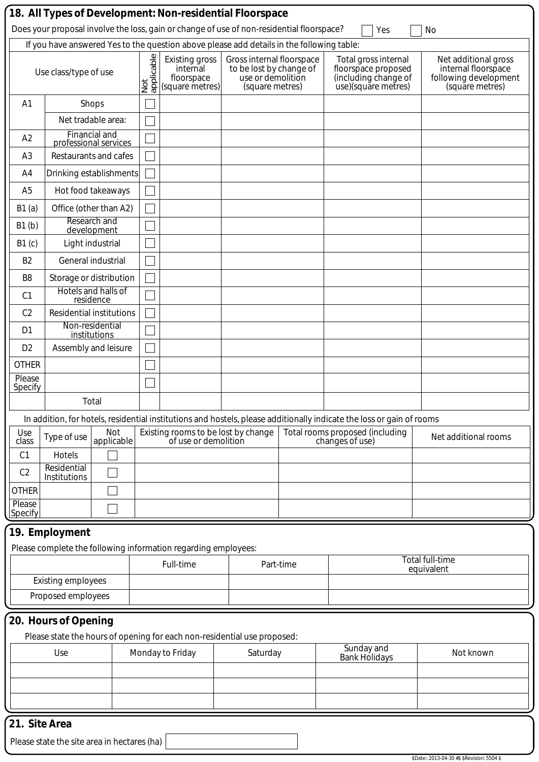|                                                                          |                                             |                                               |                          | 18. All Types of Development: Non-residential Floorspace<br>Does your proposal involve the loss, gain or change of use of non-residential floorspace?<br>Yes<br>No |                                                                                              |           |                                                                                                                       |                                                                                         |  |  |  |
|--------------------------------------------------------------------------|---------------------------------------------|-----------------------------------------------|--------------------------|--------------------------------------------------------------------------------------------------------------------------------------------------------------------|----------------------------------------------------------------------------------------------|-----------|-----------------------------------------------------------------------------------------------------------------------|-----------------------------------------------------------------------------------------|--|--|--|
|                                                                          |                                             |                                               |                          | If you have answered Yes to the question above please add details in the following table:                                                                          |                                                                                              |           |                                                                                                                       |                                                                                         |  |  |  |
|                                                                          | Use class/type of use                       |                                               | applicable<br>applicable | <b>Existing gross</b><br>internal<br>floorspace<br>(square metres)                                                                                                 | Gross internal floorspace<br>to be lost by change of<br>use or demolition<br>(square metres) |           | Total gross internal<br>floorspace proposed<br>(including change of<br>use)(square metres)                            | Net additional gross<br>internal floorspace<br>following development<br>(square metres) |  |  |  |
| A <sub>1</sub>                                                           |                                             | Shops                                         |                          |                                                                                                                                                                    |                                                                                              |           |                                                                                                                       |                                                                                         |  |  |  |
|                                                                          |                                             | Net tradable area:                            |                          |                                                                                                                                                                    |                                                                                              |           |                                                                                                                       |                                                                                         |  |  |  |
| A2                                                                       |                                             | <b>Financial and</b><br>professional services |                          |                                                                                                                                                                    |                                                                                              |           |                                                                                                                       |                                                                                         |  |  |  |
| A <sub>3</sub>                                                           |                                             | Restaurants and cafes                         |                          |                                                                                                                                                                    |                                                                                              |           |                                                                                                                       |                                                                                         |  |  |  |
| A4                                                                       |                                             | Drinking establishments                       |                          |                                                                                                                                                                    |                                                                                              |           |                                                                                                                       |                                                                                         |  |  |  |
| A <sub>5</sub>                                                           |                                             | Hot food takeaways                            |                          |                                                                                                                                                                    |                                                                                              |           |                                                                                                                       |                                                                                         |  |  |  |
| B1(a)                                                                    |                                             | Office (other than A2)                        |                          |                                                                                                                                                                    |                                                                                              |           |                                                                                                                       |                                                                                         |  |  |  |
| B1(b)                                                                    |                                             | Research and<br>development                   |                          |                                                                                                                                                                    |                                                                                              |           |                                                                                                                       |                                                                                         |  |  |  |
| B1(c)                                                                    |                                             | Light industrial                              |                          |                                                                                                                                                                    |                                                                                              |           |                                                                                                                       |                                                                                         |  |  |  |
| B <sub>2</sub>                                                           |                                             | General industrial                            |                          |                                                                                                                                                                    |                                                                                              |           |                                                                                                                       |                                                                                         |  |  |  |
| B <sub>8</sub>                                                           |                                             | Storage or distribution                       |                          |                                                                                                                                                                    |                                                                                              |           |                                                                                                                       |                                                                                         |  |  |  |
| C <sub>1</sub>                                                           |                                             | Hotels and halls of<br>residence              |                          |                                                                                                                                                                    |                                                                                              |           |                                                                                                                       |                                                                                         |  |  |  |
| C <sub>2</sub>                                                           |                                             | <b>Residential institutions</b>               |                          |                                                                                                                                                                    |                                                                                              |           |                                                                                                                       |                                                                                         |  |  |  |
| D <sub>1</sub>                                                           |                                             | Non-residential<br>institutions               |                          |                                                                                                                                                                    |                                                                                              |           |                                                                                                                       |                                                                                         |  |  |  |
| D <sub>2</sub>                                                           |                                             | Assembly and leisure                          |                          |                                                                                                                                                                    |                                                                                              |           |                                                                                                                       |                                                                                         |  |  |  |
| <b>OTHER</b>                                                             |                                             |                                               |                          |                                                                                                                                                                    |                                                                                              |           |                                                                                                                       |                                                                                         |  |  |  |
| Please<br>Specify                                                        |                                             |                                               |                          |                                                                                                                                                                    |                                                                                              |           |                                                                                                                       |                                                                                         |  |  |  |
|                                                                          |                                             | Total                                         |                          |                                                                                                                                                                    |                                                                                              |           |                                                                                                                       |                                                                                         |  |  |  |
|                                                                          |                                             |                                               |                          |                                                                                                                                                                    |                                                                                              |           | In addition, for hotels, residential institutions and hostels, please additionally indicate the loss or gain of rooms |                                                                                         |  |  |  |
| Use<br>class                                                             | Type of use                                 | Not<br>applicable                             |                          | Existing rooms to be lost by change<br>of use or demolition                                                                                                        |                                                                                              |           | Total rooms proposed (including<br>changes of use)                                                                    | Net additional rooms                                                                    |  |  |  |
| C <sub>1</sub>                                                           | Hotels<br>Residential                       |                                               |                          |                                                                                                                                                                    |                                                                                              |           |                                                                                                                       |                                                                                         |  |  |  |
| C <sub>2</sub>                                                           | Institutions                                |                                               |                          |                                                                                                                                                                    |                                                                                              |           |                                                                                                                       |                                                                                         |  |  |  |
| <b>OTHER</b><br>Please                                                   |                                             |                                               |                          |                                                                                                                                                                    |                                                                                              |           |                                                                                                                       |                                                                                         |  |  |  |
| Specify                                                                  |                                             |                                               |                          |                                                                                                                                                                    |                                                                                              |           |                                                                                                                       |                                                                                         |  |  |  |
|                                                                          | 19. Employment                              |                                               |                          |                                                                                                                                                                    |                                                                                              |           |                                                                                                                       |                                                                                         |  |  |  |
|                                                                          |                                             |                                               |                          | Please complete the following information regarding employees:                                                                                                     |                                                                                              |           |                                                                                                                       |                                                                                         |  |  |  |
|                                                                          |                                             |                                               |                          | Full-time                                                                                                                                                          |                                                                                              | Part-time |                                                                                                                       | Total full-time<br>equivalent                                                           |  |  |  |
|                                                                          | <b>Existing employees</b>                   |                                               |                          |                                                                                                                                                                    |                                                                                              |           |                                                                                                                       |                                                                                         |  |  |  |
|                                                                          | Proposed employees                          |                                               |                          |                                                                                                                                                                    |                                                                                              |           |                                                                                                                       |                                                                                         |  |  |  |
|                                                                          | 20. Hours of Opening                        |                                               |                          |                                                                                                                                                                    |                                                                                              |           |                                                                                                                       |                                                                                         |  |  |  |
| Please state the hours of opening for each non-residential use proposed: |                                             |                                               |                          |                                                                                                                                                                    |                                                                                              |           |                                                                                                                       |                                                                                         |  |  |  |
|                                                                          | Use                                         |                                               |                          | Monday to Friday                                                                                                                                                   | Saturday                                                                                     |           | Sunday and<br><b>Bank Holidays</b>                                                                                    | Not known                                                                               |  |  |  |
|                                                                          |                                             |                                               |                          |                                                                                                                                                                    |                                                                                              |           |                                                                                                                       |                                                                                         |  |  |  |
|                                                                          |                                             |                                               |                          |                                                                                                                                                                    |                                                                                              |           |                                                                                                                       |                                                                                         |  |  |  |
|                                                                          |                                             |                                               |                          |                                                                                                                                                                    |                                                                                              |           |                                                                                                                       |                                                                                         |  |  |  |
| 21. Site Area                                                            |                                             |                                               |                          |                                                                                                                                                                    |                                                                                              |           |                                                                                                                       |                                                                                         |  |  |  |
|                                                                          | Please state the site area in hectares (ha) |                                               |                          |                                                                                                                                                                    |                                                                                              |           |                                                                                                                       |                                                                                         |  |  |  |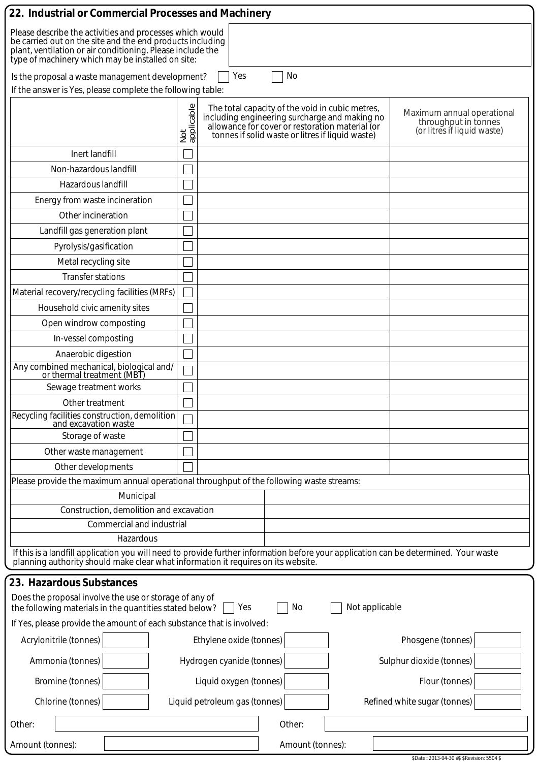| 22. Industrial or Commercial Processes and Machinery                                                                                                                                                                                     |                   |                                                                                                                                                                                                         |                |                                                                                   |  |  |
|------------------------------------------------------------------------------------------------------------------------------------------------------------------------------------------------------------------------------------------|-------------------|---------------------------------------------------------------------------------------------------------------------------------------------------------------------------------------------------------|----------------|-----------------------------------------------------------------------------------|--|--|
| Please describe the activities and processes which would<br>be carried out on the site and the end products including<br>plant, ventilation or air conditioning. Please include the<br>type of machinery which may be installed on site: |                   |                                                                                                                                                                                                         |                |                                                                                   |  |  |
| Is the proposal a waste management development?                                                                                                                                                                                          |                   | No<br>Yes                                                                                                                                                                                               |                |                                                                                   |  |  |
| If the answer is Yes, please complete the following table:                                                                                                                                                                               |                   |                                                                                                                                                                                                         |                |                                                                                   |  |  |
|                                                                                                                                                                                                                                          | Not<br>applicable | The total capacity of the void in cubic metres,<br>including engineering surcharge and making no<br>allowance for cover or restoration material (or<br>tonnes if solid waste or litres if liquid waste) |                | Maximum annual operational<br>throughput in tonnes<br>(or litres if liquid waste) |  |  |
| Inert landfill                                                                                                                                                                                                                           |                   |                                                                                                                                                                                                         |                |                                                                                   |  |  |
| Non-hazardous landfill                                                                                                                                                                                                                   |                   |                                                                                                                                                                                                         |                |                                                                                   |  |  |
| Hazardous landfill                                                                                                                                                                                                                       |                   |                                                                                                                                                                                                         |                |                                                                                   |  |  |
| Energy from waste incineration                                                                                                                                                                                                           |                   |                                                                                                                                                                                                         |                |                                                                                   |  |  |
| Other incineration                                                                                                                                                                                                                       |                   |                                                                                                                                                                                                         |                |                                                                                   |  |  |
| Landfill gas generation plant                                                                                                                                                                                                            |                   |                                                                                                                                                                                                         |                |                                                                                   |  |  |
| Pyrolysis/gasification                                                                                                                                                                                                                   |                   |                                                                                                                                                                                                         |                |                                                                                   |  |  |
| Metal recycling site                                                                                                                                                                                                                     |                   |                                                                                                                                                                                                         |                |                                                                                   |  |  |
| <b>Transfer stations</b>                                                                                                                                                                                                                 |                   |                                                                                                                                                                                                         |                |                                                                                   |  |  |
| Material recovery/recycling facilities (MRFs)                                                                                                                                                                                            |                   |                                                                                                                                                                                                         |                |                                                                                   |  |  |
| Household civic amenity sites                                                                                                                                                                                                            |                   |                                                                                                                                                                                                         |                |                                                                                   |  |  |
| Open windrow composting                                                                                                                                                                                                                  |                   |                                                                                                                                                                                                         |                |                                                                                   |  |  |
| In-vessel composting                                                                                                                                                                                                                     |                   |                                                                                                                                                                                                         |                |                                                                                   |  |  |
| Anaerobic digestion                                                                                                                                                                                                                      |                   |                                                                                                                                                                                                         |                |                                                                                   |  |  |
| Any combined mechanical, biological and/<br>or thermal treatment (MBT)                                                                                                                                                                   |                   |                                                                                                                                                                                                         |                |                                                                                   |  |  |
| Sewage treatment works                                                                                                                                                                                                                   |                   |                                                                                                                                                                                                         |                |                                                                                   |  |  |
| Other treatment                                                                                                                                                                                                                          |                   |                                                                                                                                                                                                         |                |                                                                                   |  |  |
| Recycling facilities construction, demolition<br>and excavation waste                                                                                                                                                                    |                   |                                                                                                                                                                                                         |                |                                                                                   |  |  |
| Storage of waste                                                                                                                                                                                                                         |                   |                                                                                                                                                                                                         |                |                                                                                   |  |  |
| Other waste management                                                                                                                                                                                                                   |                   |                                                                                                                                                                                                         |                |                                                                                   |  |  |
| Other developments                                                                                                                                                                                                                       |                   |                                                                                                                                                                                                         |                |                                                                                   |  |  |
| Please provide the maximum annual operational throughput of the following waste streams:                                                                                                                                                 |                   |                                                                                                                                                                                                         |                |                                                                                   |  |  |
| Municipal<br>Construction, demolition and excavation                                                                                                                                                                                     |                   |                                                                                                                                                                                                         |                |                                                                                   |  |  |
| Commercial and industrial                                                                                                                                                                                                                |                   |                                                                                                                                                                                                         |                |                                                                                   |  |  |
| Hazardous                                                                                                                                                                                                                                |                   |                                                                                                                                                                                                         |                |                                                                                   |  |  |
| If this is a landfill application you will need to provide further information before your application can be determined. Your waste<br>planning authority should make clear what information it requires on its website.                |                   |                                                                                                                                                                                                         |                |                                                                                   |  |  |
| 23. Hazardous Substances                                                                                                                                                                                                                 |                   |                                                                                                                                                                                                         |                |                                                                                   |  |  |
| Does the proposal involve the use or storage of any of<br>the following materials in the quantities stated below?                                                                                                                        |                   | No<br>Yes                                                                                                                                                                                               | Not applicable |                                                                                   |  |  |
| If Yes, please provide the amount of each substance that is involved:                                                                                                                                                                    |                   |                                                                                                                                                                                                         |                |                                                                                   |  |  |
| Acrylonitrile (tonnes)                                                                                                                                                                                                                   |                   | Ethylene oxide (tonnes)                                                                                                                                                                                 |                | Phosgene (tonnes)                                                                 |  |  |
| Ammonia (tonnes)                                                                                                                                                                                                                         |                   | Hydrogen cyanide (tonnes)                                                                                                                                                                               |                | Sulphur dioxide (tonnes)                                                          |  |  |
| Bromine (tonnes)                                                                                                                                                                                                                         |                   | Liquid oxygen (tonnes)                                                                                                                                                                                  |                | Flour (tonnes)                                                                    |  |  |
| Chlorine (tonnes)                                                                                                                                                                                                                        |                   | Liquid petroleum gas (tonnes)                                                                                                                                                                           |                | Refined white sugar (tonnes)                                                      |  |  |
| Other:                                                                                                                                                                                                                                   |                   | Other:                                                                                                                                                                                                  |                |                                                                                   |  |  |
| Amount (tonnes):                                                                                                                                                                                                                         |                   | Amount (tonnes):                                                                                                                                                                                        |                |                                                                                   |  |  |
|                                                                                                                                                                                                                                          |                   |                                                                                                                                                                                                         |                | \$Date:: 2013-04-30 #\$ \$Revision: 5504 \$                                       |  |  |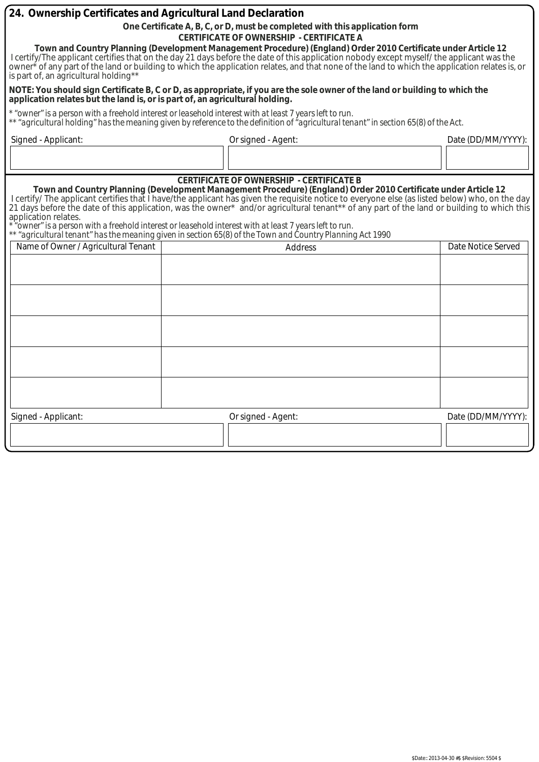| 24. Ownership Certificates and Agricultural Land Declaration |                                                                                                                                                                                                                                                                                                                                                                                                                                                                                                                                                                                                                                     |                    |  |  |  |  |  |
|--------------------------------------------------------------|-------------------------------------------------------------------------------------------------------------------------------------------------------------------------------------------------------------------------------------------------------------------------------------------------------------------------------------------------------------------------------------------------------------------------------------------------------------------------------------------------------------------------------------------------------------------------------------------------------------------------------------|--------------------|--|--|--|--|--|
|                                                              | One Certificate A, B, C, or D, must be completed with this application form                                                                                                                                                                                                                                                                                                                                                                                                                                                                                                                                                         |                    |  |  |  |  |  |
|                                                              | <b>CERTIFICATE OF OWNERSHIP - CERTIFICATE A</b>                                                                                                                                                                                                                                                                                                                                                                                                                                                                                                                                                                                     |                    |  |  |  |  |  |
| is part of, an agricultural holding**                        | Town and Country Planning (Development Management Procedure) (England) Order 2010 Certificate under Article 12<br>I certify/The applicant certifies that on the day 21 days before the date of this application nobody except myself/ the applicant was the<br>owner <sup>*</sup> of any part of the land or building to which the application relates, and that none of the land to which the application relates is, or                                                                                                                                                                                                           |                    |  |  |  |  |  |
|                                                              | NOTE: You should sign Certificate B, C or D, as appropriate, if you are the sole owner of the land or building to which the<br>application relates but the land is, or is part of, an agricultural holding.                                                                                                                                                                                                                                                                                                                                                                                                                         |                    |  |  |  |  |  |
|                                                              | * "owner" is a person with a freehold interest or leasehold interest with at least 7 years left to run.<br>** "agricultural holding" has the meaning given by reference to the definition of "agricultural tenant" in section 65(8) of the Act.                                                                                                                                                                                                                                                                                                                                                                                     |                    |  |  |  |  |  |
| Signed - Applicant:                                          | Or signed - Agent:                                                                                                                                                                                                                                                                                                                                                                                                                                                                                                                                                                                                                  | Date (DD/MM/YYYY): |  |  |  |  |  |
|                                                              |                                                                                                                                                                                                                                                                                                                                                                                                                                                                                                                                                                                                                                     |                    |  |  |  |  |  |
|                                                              | <b>CERTIFICATE OF OWNERSHIP - CERTIFICATE B</b>                                                                                                                                                                                                                                                                                                                                                                                                                                                                                                                                                                                     |                    |  |  |  |  |  |
| application relates.                                         | Town and Country Planning (Development Management Procedure) (England) Order 2010 Certificate under Article 12<br>I certify/ The applicant certifies that I have/the applicant has given the requisite notice to everyone else (as listed below) who, on the day<br>21 days before the date of this application, was the owner* and/or agricultural tenant** of any part of the land or building to which this<br>owner" is a person with a freehold interest or leasehold interest with at least 7 years left to run"<br>** "agricultural tenant" has the meaning given in section 65(8) of the Town and Country Planning Act 1990 |                    |  |  |  |  |  |
| Name of Owner / Agricultural Tenant                          | <b>Address</b>                                                                                                                                                                                                                                                                                                                                                                                                                                                                                                                                                                                                                      | Date Notice Served |  |  |  |  |  |
|                                                              |                                                                                                                                                                                                                                                                                                                                                                                                                                                                                                                                                                                                                                     |                    |  |  |  |  |  |
|                                                              |                                                                                                                                                                                                                                                                                                                                                                                                                                                                                                                                                                                                                                     |                    |  |  |  |  |  |
|                                                              |                                                                                                                                                                                                                                                                                                                                                                                                                                                                                                                                                                                                                                     |                    |  |  |  |  |  |
|                                                              |                                                                                                                                                                                                                                                                                                                                                                                                                                                                                                                                                                                                                                     |                    |  |  |  |  |  |
|                                                              |                                                                                                                                                                                                                                                                                                                                                                                                                                                                                                                                                                                                                                     |                    |  |  |  |  |  |
|                                                              |                                                                                                                                                                                                                                                                                                                                                                                                                                                                                                                                                                                                                                     |                    |  |  |  |  |  |
|                                                              |                                                                                                                                                                                                                                                                                                                                                                                                                                                                                                                                                                                                                                     |                    |  |  |  |  |  |
|                                                              |                                                                                                                                                                                                                                                                                                                                                                                                                                                                                                                                                                                                                                     |                    |  |  |  |  |  |
|                                                              |                                                                                                                                                                                                                                                                                                                                                                                                                                                                                                                                                                                                                                     |                    |  |  |  |  |  |
| Signed - Applicant:                                          | Or signed - Agent:                                                                                                                                                                                                                                                                                                                                                                                                                                                                                                                                                                                                                  | Date (DD/MM/YYYY): |  |  |  |  |  |
|                                                              |                                                                                                                                                                                                                                                                                                                                                                                                                                                                                                                                                                                                                                     |                    |  |  |  |  |  |
|                                                              |                                                                                                                                                                                                                                                                                                                                                                                                                                                                                                                                                                                                                                     |                    |  |  |  |  |  |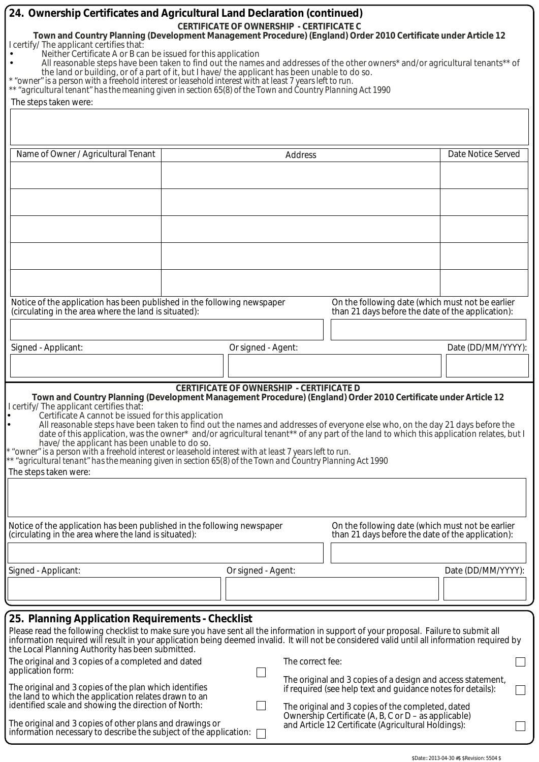| 24. Ownership Certificates and Agricultural Land Declaration (continued)<br><b>CERTIFICATE OF OWNERSHIP - CERTIFICATE C</b><br>Town and Country Planning (Development Management Procedure) (England) Order 2010 Certificate under Article 12<br>I certify/ The applicant certifies that:<br>Neither Certificate A or B can be issued for this application<br>All reasonable steps have been taken to find out the names and addresses of the other owners* and/or agricultural tenants** of<br>the land or building, or of a part of it, but I have/ the applicant has been unable to do so.<br>* "owner" is a person with a freehold interest or leasehold interest with at least 7 years left to run.<br>** "agricultural tenant" has the meaning given in section 65(8) of the Town and Country Planning Act 1990<br>The steps taken were:   |  |                    |                                                                                                                                                                                 |                                                                                                       |                    |  |
|--------------------------------------------------------------------------------------------------------------------------------------------------------------------------------------------------------------------------------------------------------------------------------------------------------------------------------------------------------------------------------------------------------------------------------------------------------------------------------------------------------------------------------------------------------------------------------------------------------------------------------------------------------------------------------------------------------------------------------------------------------------------------------------------------------------------------------------------------|--|--------------------|---------------------------------------------------------------------------------------------------------------------------------------------------------------------------------|-------------------------------------------------------------------------------------------------------|--------------------|--|
|                                                                                                                                                                                                                                                                                                                                                                                                                                                                                                                                                                                                                                                                                                                                                                                                                                                  |  |                    |                                                                                                                                                                                 |                                                                                                       |                    |  |
| Name of Owner / Agricultural Tenant                                                                                                                                                                                                                                                                                                                                                                                                                                                                                                                                                                                                                                                                                                                                                                                                              |  |                    | Address                                                                                                                                                                         |                                                                                                       | Date Notice Served |  |
|                                                                                                                                                                                                                                                                                                                                                                                                                                                                                                                                                                                                                                                                                                                                                                                                                                                  |  |                    |                                                                                                                                                                                 |                                                                                                       |                    |  |
|                                                                                                                                                                                                                                                                                                                                                                                                                                                                                                                                                                                                                                                                                                                                                                                                                                                  |  |                    |                                                                                                                                                                                 |                                                                                                       |                    |  |
|                                                                                                                                                                                                                                                                                                                                                                                                                                                                                                                                                                                                                                                                                                                                                                                                                                                  |  |                    |                                                                                                                                                                                 |                                                                                                       |                    |  |
|                                                                                                                                                                                                                                                                                                                                                                                                                                                                                                                                                                                                                                                                                                                                                                                                                                                  |  |                    |                                                                                                                                                                                 |                                                                                                       |                    |  |
|                                                                                                                                                                                                                                                                                                                                                                                                                                                                                                                                                                                                                                                                                                                                                                                                                                                  |  |                    |                                                                                                                                                                                 |                                                                                                       |                    |  |
| Notice of the application has been published in the following newspaper<br>(circulating in the area where the land is situated):                                                                                                                                                                                                                                                                                                                                                                                                                                                                                                                                                                                                                                                                                                                 |  |                    |                                                                                                                                                                                 | On the following date (which must not be earlier<br>than 21 days before the date of the application): |                    |  |
|                                                                                                                                                                                                                                                                                                                                                                                                                                                                                                                                                                                                                                                                                                                                                                                                                                                  |  |                    |                                                                                                                                                                                 |                                                                                                       |                    |  |
| Signed - Applicant:                                                                                                                                                                                                                                                                                                                                                                                                                                                                                                                                                                                                                                                                                                                                                                                                                              |  | Or signed - Agent: |                                                                                                                                                                                 |                                                                                                       | Date (DD/MM/YYYY): |  |
|                                                                                                                                                                                                                                                                                                                                                                                                                                                                                                                                                                                                                                                                                                                                                                                                                                                  |  |                    |                                                                                                                                                                                 |                                                                                                       |                    |  |
| <b>CERTIFICATE OF OWNERSHIP - CERTIFICATE D</b><br>Town and Country Planning (Development Management Procedure) (England) Order 2010 Certificate under Article 12<br>I certify/ The applicant certifies that:<br>Certificate A cannot be issued for this application<br>All reasonable steps have been taken to find out the names and addresses of everyone else who, on the day 21 days before the<br>date of this application, was the owner* and/or agricultural tenant** of any part of the land to which this application relates, but I<br>have/ the applicant has been unable to do so.<br>* "owner" is a person with a freehold interest or leasehold interest with at least 7 years left to run.<br>** "agricultural tenant" has the meaning given in section 65(8) of the Town and Country Planning Act 1990<br>The steps taken were: |  |                    |                                                                                                                                                                                 |                                                                                                       |                    |  |
|                                                                                                                                                                                                                                                                                                                                                                                                                                                                                                                                                                                                                                                                                                                                                                                                                                                  |  |                    |                                                                                                                                                                                 |                                                                                                       |                    |  |
| Notice of the application has been published in the following newspaper<br>(circulating in the area where the land is situated):                                                                                                                                                                                                                                                                                                                                                                                                                                                                                                                                                                                                                                                                                                                 |  |                    |                                                                                                                                                                                 | On the following date (which must not be earlier<br>than 21 days before the date of the application): |                    |  |
|                                                                                                                                                                                                                                                                                                                                                                                                                                                                                                                                                                                                                                                                                                                                                                                                                                                  |  |                    |                                                                                                                                                                                 |                                                                                                       |                    |  |
| Signed - Applicant:                                                                                                                                                                                                                                                                                                                                                                                                                                                                                                                                                                                                                                                                                                                                                                                                                              |  | Or signed - Agent: |                                                                                                                                                                                 |                                                                                                       | Date (DD/MM/YYYY): |  |
|                                                                                                                                                                                                                                                                                                                                                                                                                                                                                                                                                                                                                                                                                                                                                                                                                                                  |  |                    |                                                                                                                                                                                 |                                                                                                       |                    |  |
| 25. Planning Application Requirements - Checklist                                                                                                                                                                                                                                                                                                                                                                                                                                                                                                                                                                                                                                                                                                                                                                                                |  |                    |                                                                                                                                                                                 |                                                                                                       |                    |  |
| Please read the following checklist to make sure you have sent all the information in support of your proposal. Failure to submit all<br>information required will result in your application being deemed invalid. It will not be considered valid until all information required by<br>the Local Planning Authority has been submitted.                                                                                                                                                                                                                                                                                                                                                                                                                                                                                                        |  |                    |                                                                                                                                                                                 |                                                                                                       |                    |  |
| The original and 3 copies of a completed and dated<br>application form:                                                                                                                                                                                                                                                                                                                                                                                                                                                                                                                                                                                                                                                                                                                                                                          |  |                    | The correct fee:                                                                                                                                                                |                                                                                                       |                    |  |
| The original and 3 copies of the plan which identifies<br>the land to which the application relates drawn to an<br>identified scale and showing the direction of North:                                                                                                                                                                                                                                                                                                                                                                                                                                                                                                                                                                                                                                                                          |  |                    | The original and 3 copies of a design and access statement,<br>if required (see help text and guidance notes for details):<br>The original and 3 copies of the completed, dated |                                                                                                       |                    |  |
| Ownership Certificate (A, B, C or D – as applicable)<br>The original and 3 copies of other plans and drawings or<br>and Article 12 Certificate (Agricultural Holdings):<br>information necessary to describe the subject of the application:                                                                                                                                                                                                                                                                                                                                                                                                                                                                                                                                                                                                     |  |                    |                                                                                                                                                                                 |                                                                                                       |                    |  |